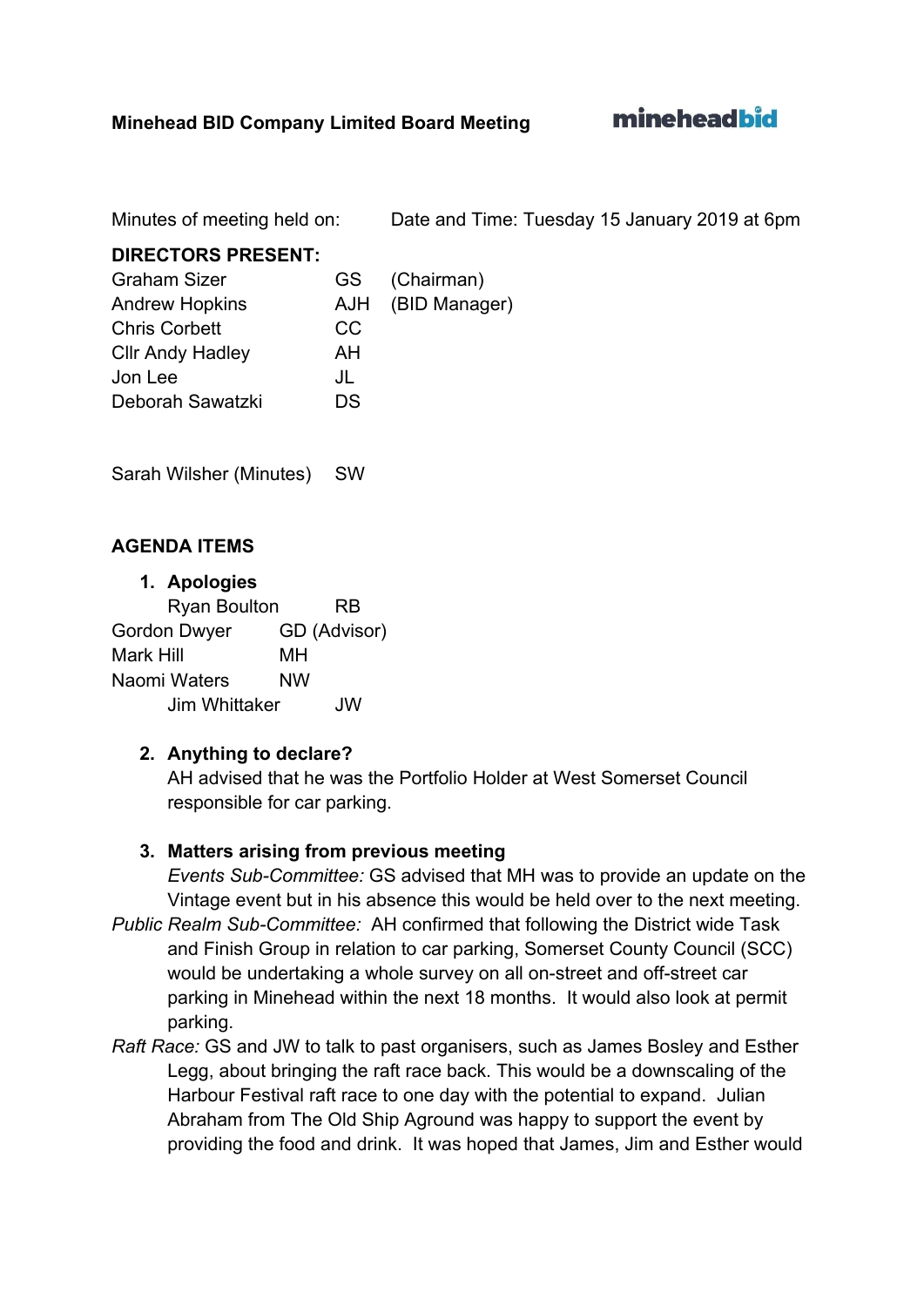mineheadbid

Minutes of meeting held on: Date and Time: Tuesday 15 January 2019 at 6pm

#### **DIRECTORS PRESENT:**

| <b>Graham Sizer</b>     | GS - | (Chairman)        |
|-------------------------|------|-------------------|
| <b>Andrew Hopkins</b>   |      | AJH (BID Manager) |
| <b>Chris Corbett</b>    | CC   |                   |
| <b>Cllr Andy Hadley</b> | ΑH   |                   |
| Jon Lee                 | JL   |                   |
| Deborah Sawatzki        | D.S  |                   |

Sarah Wilsher (Minutes) SW

# **AGENDA ITEMS**

#### **1. Apologies**

| <b>Ryan Boulton</b> | <b>RB</b>    |
|---------------------|--------------|
| Gordon Dwyer        | GD (Advisor) |
| Mark Hill           | мн           |
| Naomi Waters        | <b>NW</b>    |
| Jim Whittaker       | .JW          |

#### **2. Anything to declare?**

AH advised that he was the Portfolio Holder at West Somerset Council responsible for car parking.

#### **3. Matters arising from previous meeting**

*Events Sub-Committee:* GS advised that MH was to provide an update on the Vintage event but in his absence this would be held over to the next meeting.

- *Public Realm Sub-Committee:* AH confirmed that following the District wide Task and Finish Group in relation to car parking, Somerset County Council (SCC) would be undertaking a whole survey on all on-street and off-street car parking in Minehead within the next 18 months. It would also look at permit parking.
- *Raft Race:* GS and JW to talk to past organisers, such as James Bosley and Esther Legg, about bringing the raft race back. This would be a downscaling of the Harbour Festival raft race to one day with the potential to expand. Julian Abraham from The Old Ship Aground was happy to support the event by providing the food and drink. It was hoped that James, Jim and Esther would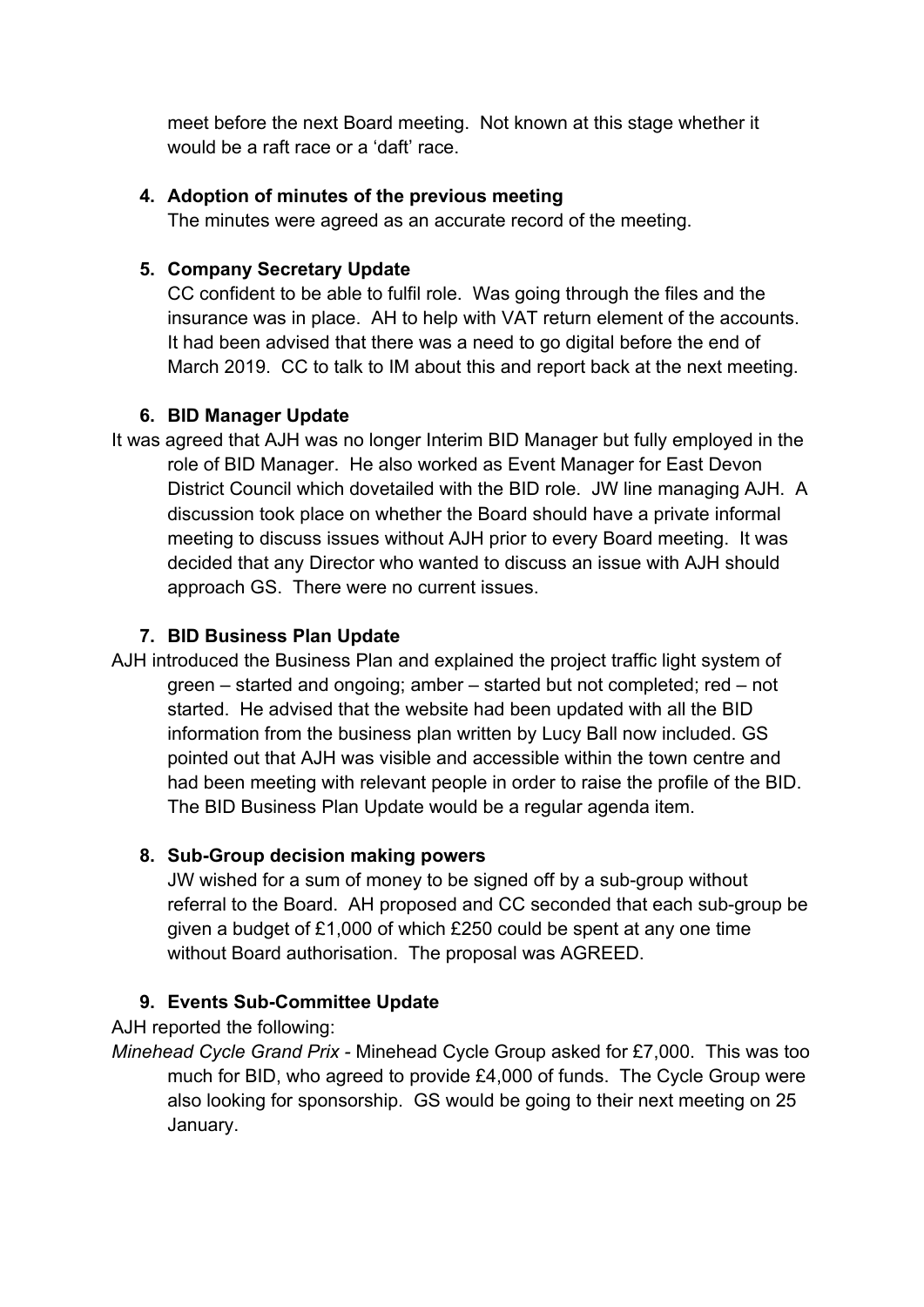meet before the next Board meeting. Not known at this stage whether it would be a raft race or a 'daft' race.

### **4. Adoption of minutes of the previous meeting**

The minutes were agreed as an accurate record of the meeting.

### **5. Company Secretary Update**

CC confident to be able to fulfil role. Was going through the files and the insurance was in place. AH to help with VAT return element of the accounts. It had been advised that there was a need to go digital before the end of March 2019. CC to talk to IM about this and report back at the next meeting.

#### **6. BID Manager Update**

It was agreed that AJH was no longer Interim BID Manager but fully employed in the role of BID Manager. He also worked as Event Manager for East Devon District Council which dovetailed with the BID role. JW line managing AJH. A discussion took place on whether the Board should have a private informal meeting to discuss issues without AJH prior to every Board meeting. It was decided that any Director who wanted to discuss an issue with AJH should approach GS. There were no current issues.

#### **7. BID Business Plan Update**

AJH introduced the Business Plan and explained the project traffic light system of green – started and ongoing; amber – started but not completed; red – not started. He advised that the website had been updated with all the BID information from the business plan written by Lucy Ball now included. GS pointed out that AJH was visible and accessible within the town centre and had been meeting with relevant people in order to raise the profile of the BID. The BID Business Plan Update would be a regular agenda item.

# **8. Sub-Group decision making powers**

JW wished for a sum of money to be signed off by a sub-group without referral to the Board. AH proposed and CC seconded that each sub-group be given a budget of £1,000 of which £250 could be spent at any one time without Board authorisation. The proposal was AGREED.

# **9. Events Sub-Committee Update**

AJH reported the following:

*Minehead Cycle Grand Prix -* Minehead Cycle Group asked for £7,000. This was too much for BID, who agreed to provide £4,000 of funds. The Cycle Group were also looking for sponsorship. GS would be going to their next meeting on 25 January.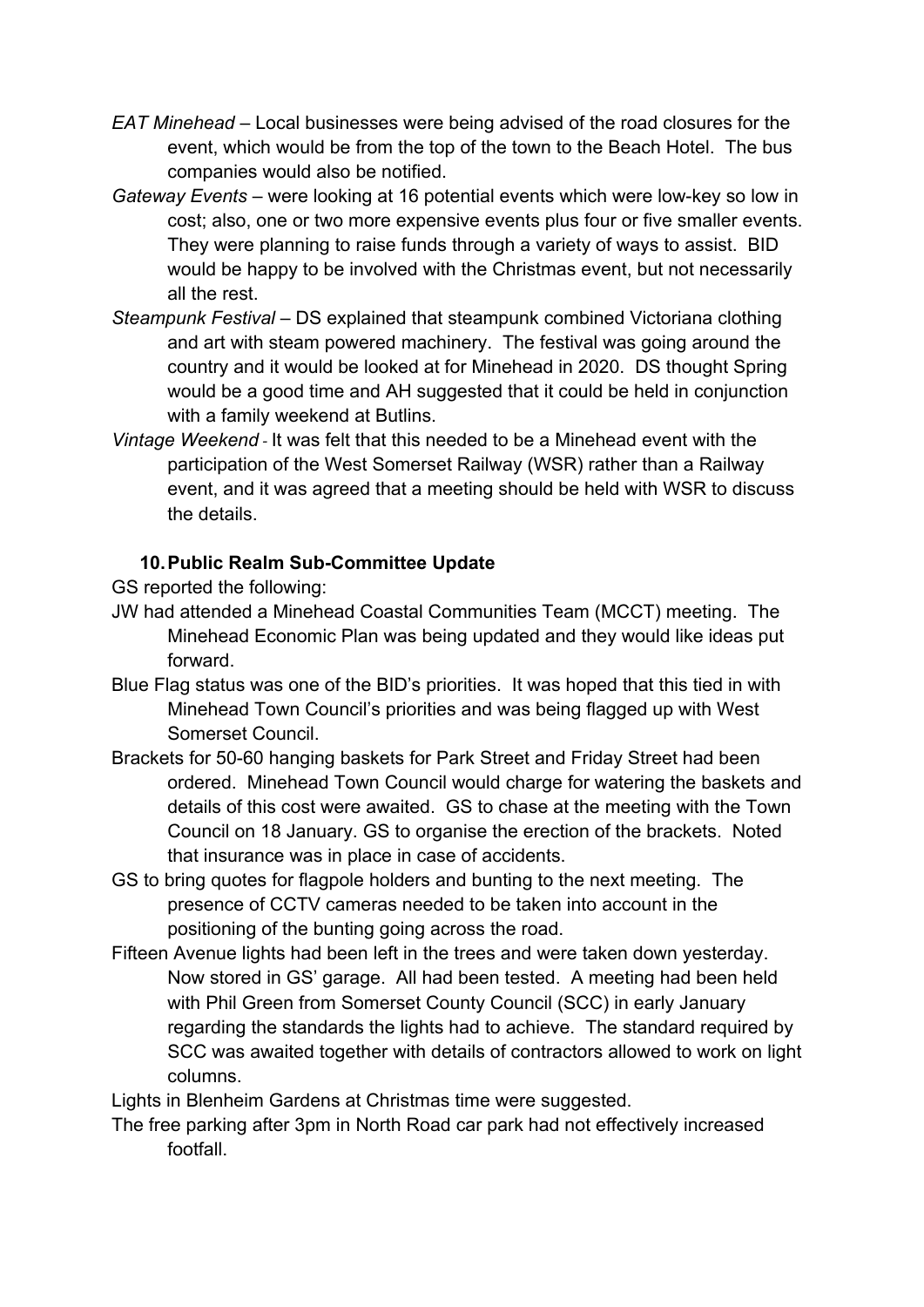- *EAT Minehead* Local businesses were being advised of the road closures for the event, which would be from the top of the town to the Beach Hotel. The bus companies would also be notified.
- *Gateway Events* were looking at 16 potential events which were low-key so low in cost; also, one or two more expensive events plus four or five smaller events. They were planning to raise funds through a variety of ways to assist. BID would be happy to be involved with the Christmas event, but not necessarily all the rest.
- *Steampunk Festival* DS explained that steampunk combined Victoriana clothing and art with steam powered machinery. The festival was going around the country and it would be looked at for Minehead in 2020. DS thought Spring would be a good time and AH suggested that it could be held in conjunction with a family weekend at Butlins.
- *Vintage Weekend -* It was felt that this needed to be a Minehead event with the participation of the West Somerset Railway (WSR) rather than a Railway event, and it was agreed that a meeting should be held with WSR to discuss the details.

# **10.Public Realm Sub-Committee Update**

GS reported the following:

- JW had attended a Minehead Coastal Communities Team (MCCT) meeting. The Minehead Economic Plan was being updated and they would like ideas put forward.
- Blue Flag status was one of the BID's priorities. It was hoped that this tied in with Minehead Town Council's priorities and was being flagged up with West Somerset Council.
- Brackets for 50-60 hanging baskets for Park Street and Friday Street had been ordered. Minehead Town Council would charge for watering the baskets and details of this cost were awaited. GS to chase at the meeting with the Town Council on 18 January. GS to organise the erection of the brackets. Noted that insurance was in place in case of accidents.
- GS to bring quotes for flagpole holders and bunting to the next meeting. The presence of CCTV cameras needed to be taken into account in the positioning of the bunting going across the road.
- Fifteen Avenue lights had been left in the trees and were taken down yesterday. Now stored in GS' garage. All had been tested. A meeting had been held with Phil Green from Somerset County Council (SCC) in early January regarding the standards the lights had to achieve. The standard required by SCC was awaited together with details of contractors allowed to work on light columns.
- Lights in Blenheim Gardens at Christmas time were suggested.
- The free parking after 3pm in North Road car park had not effectively increased footfall.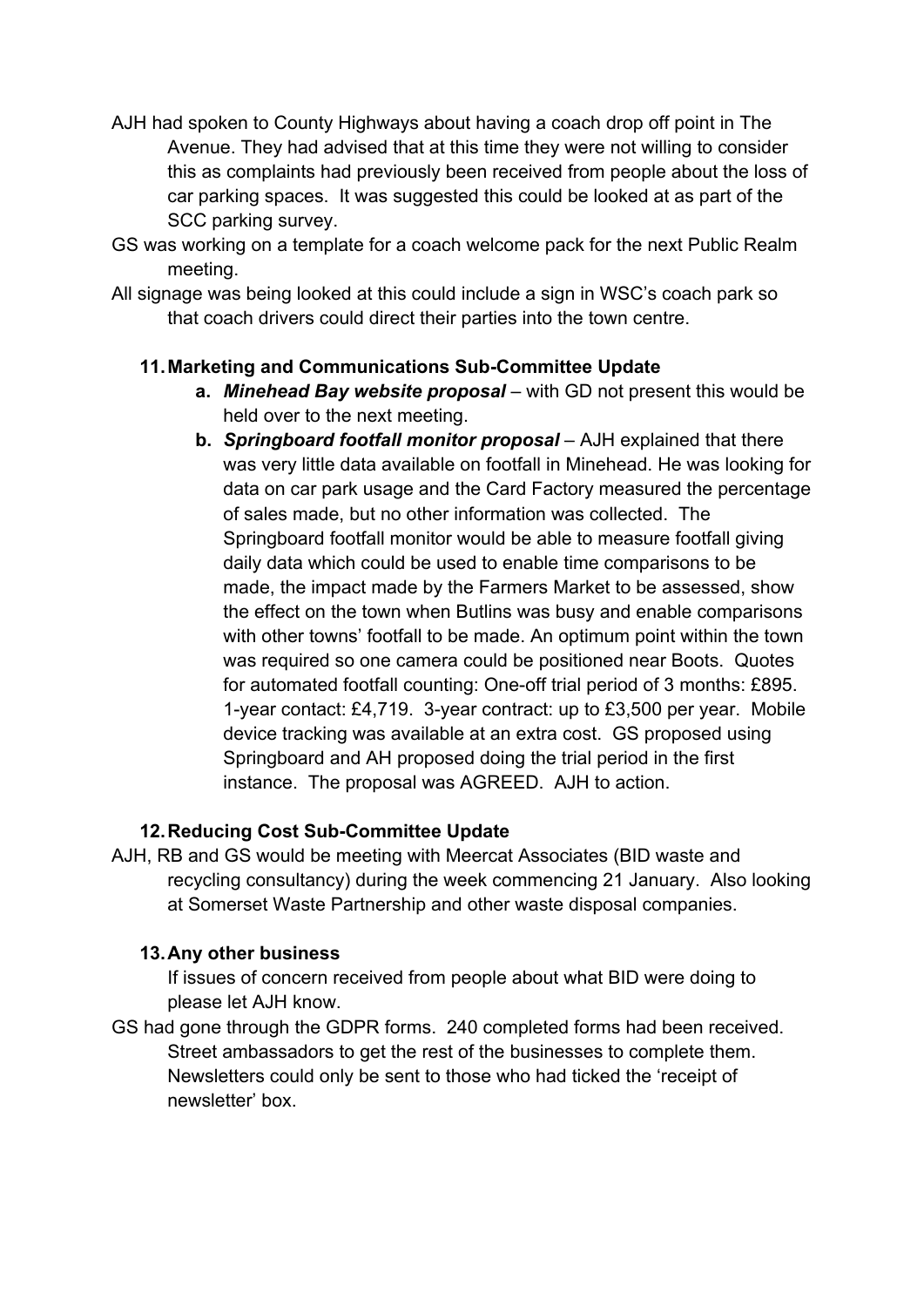- AJH had spoken to County Highways about having a coach drop off point in The Avenue. They had advised that at this time they were not willing to consider this as complaints had previously been received from people about the loss of car parking spaces. It was suggested this could be looked at as part of the SCC parking survey.
- GS was working on a template for a coach welcome pack for the next Public Realm meeting.
- All signage was being looked at this could include a sign in WSC's coach park so that coach drivers could direct their parties into the town centre.

# **11.Marketing and Communications Sub-Committee Update**

- **a.** *Minehead Bay website proposal* with GD not present this would be held over to the next meeting.
- **b.** *Springboard footfall monitor proposal* AJH explained that there was very little data available on footfall in Minehead. He was looking for data on car park usage and the Card Factory measured the percentage of sales made, but no other information was collected. The Springboard footfall monitor would be able to measure footfall giving daily data which could be used to enable time comparisons to be made, the impact made by the Farmers Market to be assessed, show the effect on the town when Butlins was busy and enable comparisons with other towns' footfall to be made. An optimum point within the town was required so one camera could be positioned near Boots. Quotes for automated footfall counting: One-off trial period of 3 months: £895. 1-year contact: £4,719. 3-year contract: up to £3,500 per year. Mobile device tracking was available at an extra cost. GS proposed using Springboard and AH proposed doing the trial period in the first instance. The proposal was AGREED. AJH to action.

# **12.Reducing Cost Sub-Committee Update**

AJH, RB and GS would be meeting with Meercat Associates (BID waste and recycling consultancy) during the week commencing 21 January. Also looking at Somerset Waste Partnership and other waste disposal companies.

#### **13.Any other business**

If issues of concern received from people about what BID were doing to please let AJH know.

GS had gone through the GDPR forms. 240 completed forms had been received. Street ambassadors to get the rest of the businesses to complete them. Newsletters could only be sent to those who had ticked the 'receipt of newsletter' box.